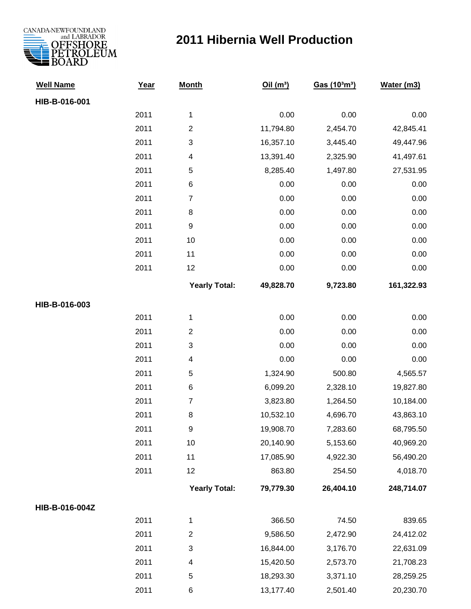

## **2011 Hibernia Well Production**

| <b>Well Name</b> | Year | <b>Month</b>            | Oil(m <sup>3</sup> ) | Gas (10 <sup>3</sup> m <sup>3</sup> ) | Water (m3) |
|------------------|------|-------------------------|----------------------|---------------------------------------|------------|
| HIB-B-016-001    |      |                         |                      |                                       |            |
|                  | 2011 | 1                       | 0.00                 | 0.00                                  | 0.00       |
|                  | 2011 | $\overline{c}$          | 11,794.80            | 2,454.70                              | 42,845.41  |
|                  | 2011 | 3                       | 16,357.10            | 3,445.40                              | 49,447.96  |
|                  | 2011 | 4                       | 13,391.40            | 2,325.90                              | 41,497.61  |
|                  | 2011 | 5                       | 8,285.40             | 1,497.80                              | 27,531.95  |
|                  | 2011 | 6                       | 0.00                 | 0.00                                  | 0.00       |
|                  | 2011 | $\overline{7}$          | 0.00                 | 0.00                                  | 0.00       |
|                  | 2011 | 8                       | 0.00                 | 0.00                                  | 0.00       |
|                  | 2011 | $\boldsymbol{9}$        | 0.00                 | 0.00                                  | 0.00       |
|                  | 2011 | 10                      | 0.00                 | 0.00                                  | 0.00       |
|                  | 2011 | 11                      | 0.00                 | 0.00                                  | 0.00       |
|                  | 2011 | 12                      | 0.00                 | 0.00                                  | 0.00       |
|                  |      | <b>Yearly Total:</b>    | 49,828.70            | 9,723.80                              | 161,322.93 |
| HIB-B-016-003    |      |                         |                      |                                       |            |
|                  | 2011 | 1                       | 0.00                 | 0.00                                  | 0.00       |
|                  | 2011 | $\overline{c}$          | 0.00                 | 0.00                                  | 0.00       |
|                  | 2011 | 3                       | 0.00                 | 0.00                                  | 0.00       |
|                  | 2011 | 4                       | 0.00                 | 0.00                                  | 0.00       |
|                  | 2011 | 5                       | 1,324.90             | 500.80                                | 4,565.57   |
|                  | 2011 | 6                       | 6,099.20             | 2,328.10                              | 19,827.80  |
|                  | 2011 | $\overline{7}$          | 3,823.80             | 1,264.50                              | 10,184.00  |
|                  | 2011 | 8                       | 10,532.10            | 4,696.70                              | 43,863.10  |
|                  | 2011 | 9                       | 19,908.70            | 7,283.60                              | 68,795.50  |
|                  | 2011 | 10                      | 20,140.90            | 5,153.60                              | 40,969.20  |
|                  | 2011 | 11                      | 17,085.90            | 4,922.30                              | 56,490.20  |
|                  | 2011 | 12                      | 863.80               | 254.50                                | 4,018.70   |
|                  |      | <b>Yearly Total:</b>    | 79,779.30            | 26,404.10                             | 248,714.07 |
| HIB-B-016-004Z   |      |                         |                      |                                       |            |
|                  | 2011 | 1                       | 366.50               | 74.50                                 | 839.65     |
|                  | 2011 | $\overline{\mathbf{c}}$ | 9,586.50             | 2,472.90                              | 24,412.02  |
|                  | 2011 | 3                       | 16,844.00            | 3,176.70                              | 22,631.09  |
|                  | 2011 | 4                       | 15,420.50            | 2,573.70                              | 21,708.23  |
|                  | 2011 | 5                       | 18,293.30            | 3,371.10                              | 28,259.25  |
|                  | 2011 | 6                       | 13,177.40            | 2,501.40                              | 20,230.70  |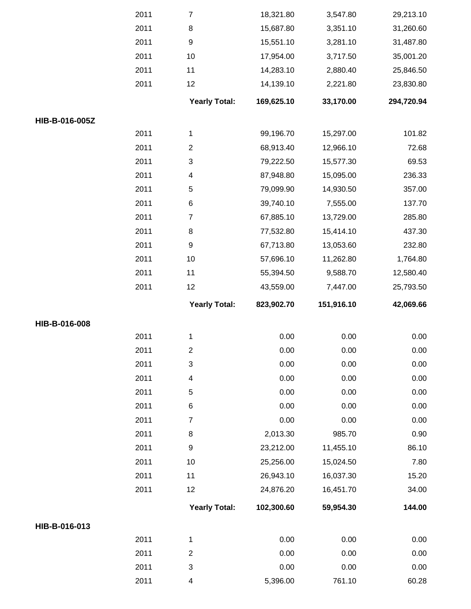|                | 2011 | $\boldsymbol{7}$          | 18,321.80  | 3,547.80   | 29,213.10  |
|----------------|------|---------------------------|------------|------------|------------|
|                | 2011 | $\, 8$                    | 15,687.80  | 3,351.10   | 31,260.60  |
|                | 2011 | $\boldsymbol{9}$          | 15,551.10  | 3,281.10   | 31,487.80  |
|                | 2011 | 10                        | 17,954.00  | 3,717.50   | 35,001.20  |
|                | 2011 | 11                        | 14,283.10  | 2,880.40   | 25,846.50  |
|                | 2011 | 12                        | 14,139.10  | 2,221.80   | 23,830.80  |
|                |      | <b>Yearly Total:</b>      | 169,625.10 | 33,170.00  | 294,720.94 |
| HIB-B-016-005Z |      |                           |            |            |            |
|                | 2011 | $\mathbf{1}$              | 99,196.70  | 15,297.00  | 101.82     |
|                | 2011 | $\sqrt{2}$                | 68,913.40  | 12,966.10  | 72.68      |
|                | 2011 | $\ensuremath{\mathsf{3}}$ | 79,222.50  | 15,577.30  | 69.53      |
|                | 2011 | 4                         | 87,948.80  | 15,095.00  | 236.33     |
|                | 2011 | $\mathbf 5$               | 79,099.90  | 14,930.50  | 357.00     |
|                | 2011 | $\,6$                     | 39,740.10  | 7,555.00   | 137.70     |
|                | 2011 | $\boldsymbol{7}$          | 67,885.10  | 13,729.00  | 285.80     |
|                | 2011 | $\,8\,$                   | 77,532.80  | 15,414.10  | 437.30     |
|                | 2011 | $\boldsymbol{9}$          | 67,713.80  | 13,053.60  | 232.80     |
|                | 2011 | 10                        | 57,696.10  | 11,262.80  | 1,764.80   |
|                | 2011 | 11                        | 55,394.50  | 9,588.70   | 12,580.40  |
|                | 2011 | 12                        | 43,559.00  | 7,447.00   | 25,793.50  |
|                |      |                           |            |            |            |
|                |      | <b>Yearly Total:</b>      | 823,902.70 | 151,916.10 | 42,069.66  |
| HIB-B-016-008  |      |                           |            |            |            |
|                | 2011 | $\mathbf{1}$              | 0.00       | 0.00       | 0.00       |
|                | 2011 | $\boldsymbol{2}$          | 0.00       | 0.00       | 0.00       |
|                | 2011 | $\sqrt{3}$                | 0.00       | 0.00       | 0.00       |
|                | 2011 | 4                         | 0.00       | 0.00       | 0.00       |
|                | 2011 | $\mathbf 5$               | 0.00       | 0.00       | 0.00       |
|                | 2011 | $\,6$                     | 0.00       | 0.00       | 0.00       |
|                | 2011 | $\overline{7}$            | 0.00       | 0.00       | 0.00       |
|                | 2011 | $\, 8$                    | 2,013.30   | 985.70     | 0.90       |
|                | 2011 | $\boldsymbol{9}$          | 23,212.00  | 11,455.10  | 86.10      |
|                | 2011 | 10                        | 25,256.00  | 15,024.50  | 7.80       |
|                | 2011 | 11                        | 26,943.10  | 16,037.30  | 15.20      |
|                | 2011 | 12                        | 24,876.20  | 16,451.70  | 34.00      |
|                |      | <b>Yearly Total:</b>      | 102,300.60 | 59,954.30  | 144.00     |
| HIB-B-016-013  |      |                           |            |            |            |
|                | 2011 | $\mathbf{1}$              | 0.00       | 0.00       | 0.00       |
|                | 2011 | $\boldsymbol{2}$          | 0.00       | 0.00       | 0.00       |
|                | 2011 | $\sqrt{3}$                | 0.00       | 0.00       | 0.00       |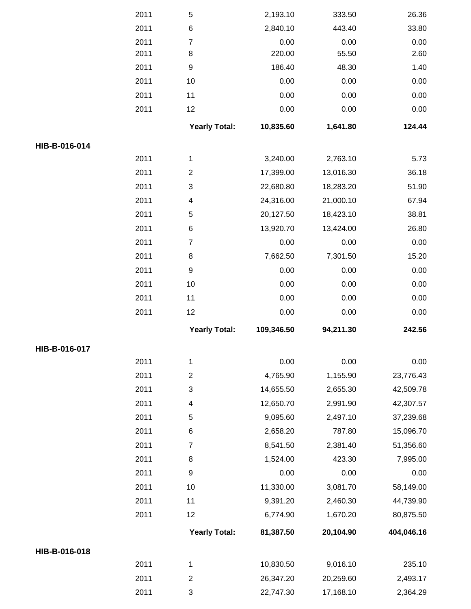|               | 2011 | 5                       | 2,193.10   | 333.50    | 26.36      |
|---------------|------|-------------------------|------------|-----------|------------|
|               | 2011 | $\,6$                   | 2,840.10   | 443.40    | 33.80      |
|               | 2011 | $\overline{7}$          | 0.00       | 0.00      | 0.00       |
|               | 2011 | 8                       | 220.00     | 55.50     | 2.60       |
|               | 2011 | 9                       | 186.40     | 48.30     | 1.40       |
|               | 2011 | 10                      | 0.00       | 0.00      | 0.00       |
|               | 2011 | 11                      | 0.00       | 0.00      | 0.00       |
|               | 2011 | 12                      | 0.00       | 0.00      | 0.00       |
|               |      | <b>Yearly Total:</b>    | 10,835.60  | 1,641.80  | 124.44     |
| HIB-B-016-014 |      |                         |            |           |            |
|               | 2011 | 1                       | 3,240.00   | 2,763.10  | 5.73       |
|               | 2011 | $\overline{\mathbf{c}}$ | 17,399.00  | 13,016.30 | 36.18      |
|               | 2011 | 3                       | 22,680.80  | 18,283.20 | 51.90      |
|               | 2011 | 4                       | 24,316.00  | 21,000.10 | 67.94      |
|               | 2011 | 5                       | 20,127.50  | 18,423.10 | 38.81      |
|               | 2011 | 6                       | 13,920.70  | 13,424.00 | 26.80      |
|               | 2011 | $\boldsymbol{7}$        | 0.00       | 0.00      | $0.00\,$   |
|               | 2011 | 8                       | 7,662.50   | 7,301.50  | 15.20      |
|               | 2011 | 9                       | 0.00       | 0.00      | 0.00       |
|               | 2011 | $10$                    | 0.00       | 0.00      | 0.00       |
|               | 2011 | 11                      | 0.00       | 0.00      | 0.00       |
|               |      |                         |            |           |            |
|               | 2011 | 12                      | 0.00       | 0.00      | 0.00       |
|               |      |                         |            |           |            |
|               |      | <b>Yearly Total:</b>    | 109,346.50 | 94,211.30 | 242.56     |
| HIB-B-016-017 |      |                         |            |           |            |
|               | 2011 | 1                       | 0.00       | 0.00      | 0.00       |
|               | 2011 | $\boldsymbol{2}$        | 4,765.90   | 1,155.90  | 23,776.43  |
|               | 2011 | 3                       | 14,655.50  | 2,655.30  | 42,509.78  |
|               | 2011 | 4                       | 12,650.70  | 2,991.90  | 42,307.57  |
|               | 2011 | 5                       | 9,095.60   | 2,497.10  | 37,239.68  |
|               | 2011 | 6                       | 2,658.20   | 787.80    | 15,096.70  |
|               | 2011 | $\overline{7}$          | 8,541.50   | 2,381.40  | 51,356.60  |
|               | 2011 | 8                       | 1,524.00   | 423.30    | 7,995.00   |
|               | 2011 | 9                       | 0.00       | 0.00      | 0.00       |
|               | 2011 | 10                      | 11,330.00  | 3,081.70  | 58,149.00  |
|               | 2011 | 11                      | 9,391.20   | 2,460.30  | 44,739.90  |
|               | 2011 | 12                      | 6,774.90   | 1,670.20  | 80,875.50  |
|               |      | <b>Yearly Total:</b>    | 81,387.50  | 20,104.90 | 404,046.16 |
| HIB-B-016-018 |      |                         |            |           |            |
|               | 2011 | 1                       | 10,830.50  | 9,016.10  | 235.10     |
|               | 2011 | $\overline{c}$          | 26,347.20  | 20,259.60 | 2,493.17   |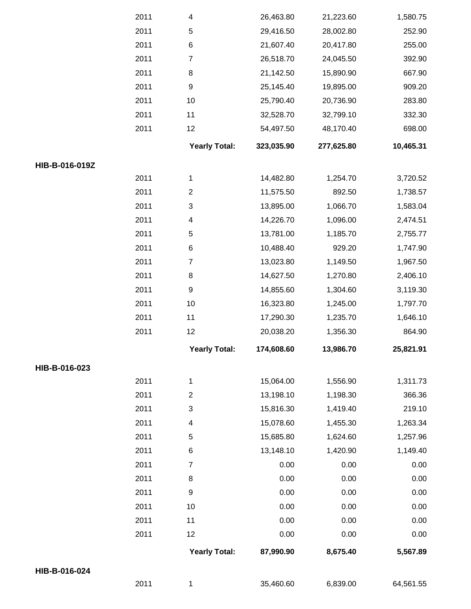|                | 2011 | 1                         | 35,460.60  | 6,839.00   | 64,561.55 |
|----------------|------|---------------------------|------------|------------|-----------|
| HIB-B-016-024  |      |                           |            |            |           |
|                |      | <b>Yearly Total:</b>      | 87,990.90  | 8,675.40   | 5,567.89  |
|                | 2011 | 12                        | 0.00       | 0.00       | 0.00      |
|                | 2011 | 11                        | 0.00       | 0.00       | 0.00      |
|                | 2011 | 10                        | 0.00       | 0.00       | 0.00      |
|                | 2011 | 9                         | 0.00       | 0.00       | 0.00      |
|                | 2011 | 8                         | 0.00       | 0.00       | 0.00      |
|                | 2011 | $\overline{7}$            | 0.00       | 0.00       | 0.00      |
|                | 2011 | 6                         | 13,148.10  | 1,420.90   | 1,149.40  |
|                | 2011 | 5                         | 15,685.80  | 1,624.60   | 1,257.96  |
|                | 2011 | 4                         | 15,078.60  | 1,455.30   | 1,263.34  |
|                | 2011 | 3                         | 15,816.30  | 1,419.40   | 219.10    |
|                | 2011 | $\overline{2}$            | 13,198.10  | 1,198.30   | 366.36    |
|                | 2011 | $\mathbf{1}$              | 15,064.00  | 1,556.90   | 1,311.73  |
| HIB-B-016-023  |      |                           |            |            |           |
|                |      | <b>Yearly Total:</b>      | 174,608.60 | 13,986.70  | 25,821.91 |
|                | 2011 | 12                        | 20,038.20  | 1,356.30   | 864.90    |
|                | 2011 | 11                        | 17,290.30  | 1,235.70   | 1,646.10  |
|                | 2011 | 10                        | 16,323.80  | 1,245.00   | 1,797.70  |
|                | 2011 | $\boldsymbol{9}$          | 14,855.60  | 1,304.60   | 3,119.30  |
|                | 2011 | 8                         | 14,627.50  | 1,270.80   | 2,406.10  |
|                | 2011 | $\boldsymbol{7}$          | 13,023.80  | 1,149.50   | 1,967.50  |
|                | 2011 | 6                         | 10,488.40  | 929.20     | 1,747.90  |
|                | 2011 | 5                         | 13,781.00  | 1,185.70   | 2,755.77  |
|                | 2011 | 4                         | 14,226.70  | 1,096.00   | 2,474.51  |
|                | 2011 | $\ensuremath{\mathsf{3}}$ | 13,895.00  | 1,066.70   | 1,583.04  |
|                | 2011 | $\mathbf{2}$              | 11,575.50  | 892.50     | 1,738.57  |
|                | 2011 | $\mathbf 1$               | 14,482.80  | 1,254.70   | 3,720.52  |
| HIB-B-016-019Z |      |                           |            |            |           |
|                |      | <b>Yearly Total:</b>      | 323,035.90 | 277,625.80 | 10,465.31 |
|                | 2011 | 12                        | 54,497.50  | 48,170.40  | 698.00    |
|                | 2011 | 11                        | 32,528.70  | 32,799.10  | 332.30    |
|                | 2011 | 10                        | 25,790.40  | 20,736.90  | 283.80    |
|                | 2011 | 9                         | 25,145.40  | 19,895.00  | 909.20    |
|                | 2011 | 8                         | 21,142.50  | 15,890.90  | 667.90    |
|                | 2011 | $\boldsymbol{7}$          | 26,518.70  | 24,045.50  | 392.90    |
|                | 2011 | 6                         | 21,607.40  | 20,417.80  | 255.00    |
|                | 2011 | 5                         | 29,416.50  | 28,002.80  | 252.90    |
|                | 2011 | 4                         | 26,463.80  | 21,223.60  | 1,580.75  |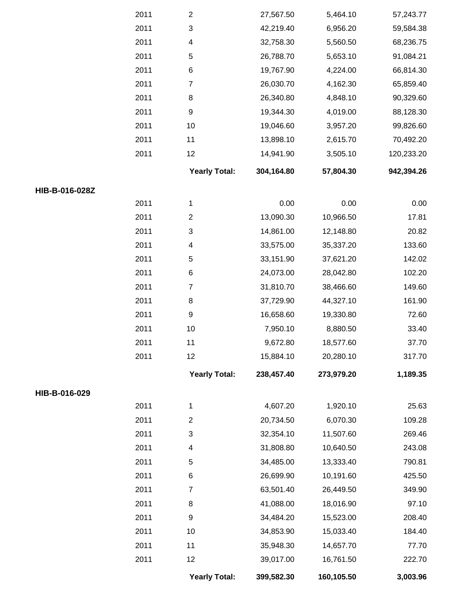|                | 2011 | $\overline{\mathbf{c}}$   | 27,567.50  | 5,464.10   | 57,243.77  |
|----------------|------|---------------------------|------------|------------|------------|
|                | 2011 | 3                         | 42,219.40  | 6,956.20   | 59,584.38  |
|                | 2011 | 4                         | 32,758.30  | 5,560.50   | 68,236.75  |
|                | 2011 | $\mathbf 5$               | 26,788.70  | 5,653.10   | 91,084.21  |
|                | 2011 | $\,6$                     | 19,767.90  | 4,224.00   | 66,814.30  |
|                | 2011 | $\overline{7}$            | 26,030.70  | 4,162.30   | 65,859.40  |
|                | 2011 | 8                         | 26,340.80  | 4,848.10   | 90,329.60  |
|                | 2011 | 9                         | 19,344.30  | 4,019.00   | 88,128.30  |
|                | 2011 | 10                        | 19,046.60  | 3,957.20   | 99,826.60  |
|                | 2011 | 11                        | 13,898.10  | 2,615.70   | 70,492.20  |
|                | 2011 | 12                        | 14,941.90  | 3,505.10   | 120,233.20 |
|                |      | <b>Yearly Total:</b>      | 304,164.80 | 57,804.30  | 942,394.26 |
| HIB-B-016-028Z |      |                           |            |            |            |
|                | 2011 | $\mathbf{1}$              | 0.00       | 0.00       | 0.00       |
|                | 2011 | $\boldsymbol{2}$          | 13,090.30  | 10,966.50  | 17.81      |
|                | 2011 | 3                         | 14,861.00  | 12,148.80  | 20.82      |
|                | 2011 | 4                         | 33,575.00  | 35,337.20  | 133.60     |
|                | 2011 | 5                         | 33,151.90  | 37,621.20  | 142.02     |
|                | 2011 | $\,6$                     | 24,073.00  | 28,042.80  | 102.20     |
|                | 2011 | 7                         | 31,810.70  | 38,466.60  | 149.60     |
|                | 2011 | 8                         | 37,729.90  | 44,327.10  | 161.90     |
|                | 2011 | 9                         | 16,658.60  | 19,330.80  | 72.60      |
|                | 2011 | 10                        | 7,950.10   | 8,880.50   | 33.40      |
|                | 2011 | 11                        | 9,672.80   | 18,577.60  | 37.70      |
|                | 2011 | 12                        | 15,884.10  | 20,280.10  | 317.70     |
|                |      | <b>Yearly Total:</b>      | 238,457.40 | 273,979.20 | 1,189.35   |
| HIB-B-016-029  |      |                           |            |            |            |
|                | 2011 | $\mathbf{1}$              | 4,607.20   | 1,920.10   | 25.63      |
|                | 2011 | $\boldsymbol{2}$          | 20,734.50  | 6,070.30   | 109.28     |
|                | 2011 | $\ensuremath{\mathsf{3}}$ | 32,354.10  | 11,507.60  | 269.46     |
|                | 2011 | 4                         | 31,808.80  | 10,640.50  | 243.08     |
|                | 2011 | $\mathbf 5$               | 34,485.00  | 13,333.40  | 790.81     |
|                | 2011 | $\,6$                     | 26,699.90  | 10,191.60  | 425.50     |
|                | 2011 | $\overline{7}$            | 63,501.40  | 26,449.50  | 349.90     |
|                | 2011 | 8                         | 41,088.00  | 18,016.90  | 97.10      |
|                | 2011 | 9                         | 34,484.20  | 15,523.00  | 208.40     |
|                | 2011 | $10$                      | 34,853.90  | 15,033.40  | 184.40     |
|                | 2011 | 11                        | 35,948.30  | 14,657.70  | 77.70      |
|                | 2011 | 12                        | 39,017.00  | 16,761.50  | 222.70     |
|                |      | <b>Yearly Total:</b>      | 399,582.30 | 160,105.50 | 3,003.96   |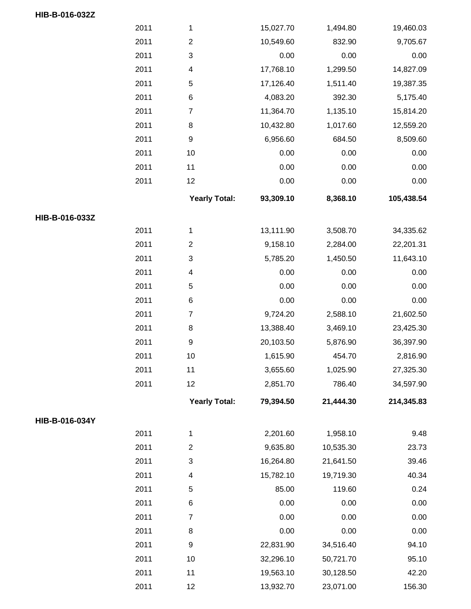|                | 2011 | 1                       | 15,027.70 | 1,494.80  | 19,460.03  |
|----------------|------|-------------------------|-----------|-----------|------------|
|                | 2011 | $\overline{\mathbf{c}}$ | 10,549.60 | 832.90    | 9,705.67   |
|                | 2011 | 3                       | 0.00      | 0.00      | 0.00       |
|                | 2011 | 4                       | 17,768.10 | 1,299.50  | 14,827.09  |
|                | 2011 | 5                       | 17,126.40 | 1,511.40  | 19,387.35  |
|                | 2011 | $\,6$                   | 4,083.20  | 392.30    | 5,175.40   |
|                | 2011 | $\overline{7}$          | 11,364.70 | 1,135.10  | 15,814.20  |
|                | 2011 | 8                       | 10,432.80 | 1,017.60  | 12,559.20  |
|                | 2011 | 9                       | 6,956.60  | 684.50    | 8,509.60   |
|                | 2011 | 10                      | 0.00      | 0.00      | 0.00       |
|                | 2011 | 11                      | 0.00      | 0.00      | 0.00       |
|                | 2011 | 12                      | 0.00      | 0.00      | 0.00       |
|                |      | <b>Yearly Total:</b>    | 93,309.10 | 8,368.10  | 105,438.54 |
| HIB-B-016-033Z |      |                         |           |           |            |
|                | 2011 | 1                       | 13,111.90 | 3,508.70  | 34,335.62  |
|                | 2011 | $\mathbf{2}$            | 9,158.10  | 2,284.00  | 22,201.31  |
|                | 2011 | 3                       | 5,785.20  | 1,450.50  | 11,643.10  |
|                | 2011 | 4                       | 0.00      | 0.00      | 0.00       |
|                | 2011 | 5                       | 0.00      | 0.00      | 0.00       |
|                | 2011 | $\,6$                   | 0.00      | 0.00      | 0.00       |
|                | 2011 | $\overline{7}$          | 9,724.20  | 2,588.10  | 21,602.50  |
|                | 2011 | 8                       | 13,388.40 | 3,469.10  | 23,425.30  |
|                | 2011 | 9                       | 20,103.50 | 5,876.90  | 36,397.90  |
|                | 2011 | 10                      | 1,615.90  | 454.70    | 2,816.90   |
|                | 2011 | 11                      | 3,655.60  | 1,025.90  | 27,325.30  |
|                | 2011 | 12                      | 2,851.70  | 786.40    | 34,597.90  |
|                |      | <b>Yearly Total:</b>    | 79,394.50 | 21,444.30 | 214,345.83 |
| HIB-B-016-034Y |      |                         |           |           |            |
|                | 2011 | 1                       | 2,201.60  | 1,958.10  | 9.48       |
|                | 2011 | $\overline{\mathbf{c}}$ | 9,635.80  | 10,535.30 | 23.73      |
|                | 2011 | 3                       | 16,264.80 | 21,641.50 | 39.46      |
|                | 2011 | 4                       | 15,782.10 | 19,719.30 | 40.34      |
|                | 2011 | $\,$ 5 $\,$             | 85.00     | 119.60    | 0.24       |
|                | 2011 | 6                       | 0.00      | 0.00      | 0.00       |
|                | 2011 | $\overline{7}$          | 0.00      | 0.00      | 0.00       |
|                | 2011 | 8                       | 0.00      | 0.00      | 0.00       |
|                | 2011 | 9                       | 22,831.90 | 34,516.40 | 94.10      |
|                | 2011 | 10                      | 32,296.10 | 50,721.70 | 95.10      |
|                | 2011 | 11                      | 19,563.10 | 30,128.50 | 42.20      |
|                | 2011 | 12                      | 13,932.70 | 23,071.00 | 156.30     |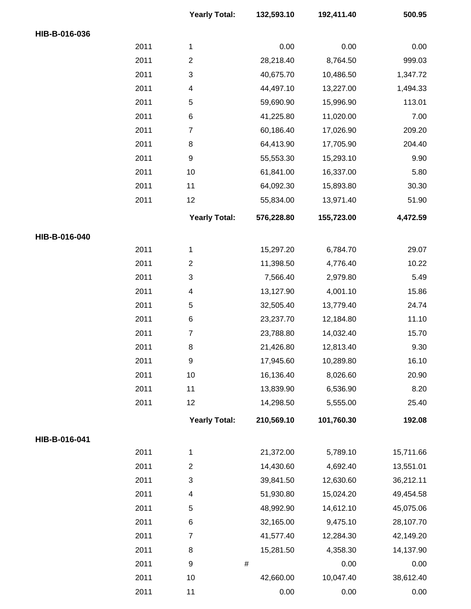|               |      | <b>Yearly Total:</b> | 132,593.10 | 192,411.40 | 500.95    |
|---------------|------|----------------------|------------|------------|-----------|
| HIB-B-016-036 |      |                      |            |            |           |
|               | 2011 | $\mathbf{1}$         | 0.00       | 0.00       | 0.00      |
|               | 2011 | $\overline{c}$       | 28,218.40  | 8,764.50   | 999.03    |
|               | 2011 | 3                    | 40,675.70  | 10,486.50  | 1,347.72  |
|               | 2011 | 4                    | 44,497.10  | 13,227.00  | 1,494.33  |
|               | 2011 | 5                    | 59,690.90  | 15,996.90  | 113.01    |
|               | 2011 | 6                    | 41,225.80  | 11,020.00  | 7.00      |
|               | 2011 | $\overline{7}$       | 60,186.40  | 17,026.90  | 209.20    |
|               | 2011 | 8                    | 64,413.90  | 17,705.90  | 204.40    |
|               | 2011 | $\boldsymbol{9}$     | 55,553.30  | 15,293.10  | 9.90      |
|               | 2011 | 10                   | 61,841.00  | 16,337.00  | 5.80      |
|               | 2011 | 11                   | 64,092.30  | 15,893.80  | 30.30     |
|               | 2011 | 12                   | 55,834.00  | 13,971.40  | 51.90     |
|               |      | <b>Yearly Total:</b> | 576,228.80 | 155,723.00 | 4,472.59  |
| HIB-B-016-040 |      |                      |            |            |           |
|               | 2011 | 1                    | 15,297.20  | 6,784.70   | 29.07     |
|               | 2011 | $\overline{c}$       | 11,398.50  | 4,776.40   | 10.22     |
|               | 2011 | 3                    | 7,566.40   | 2,979.80   | 5.49      |
|               | 2011 | 4                    | 13,127.90  | 4,001.10   | 15.86     |
|               | 2011 | 5                    | 32,505.40  | 13,779.40  | 24.74     |
|               | 2011 | 6                    | 23,237.70  | 12,184.80  | 11.10     |
|               | 2011 | $\overline{7}$       | 23,788.80  | 14,032.40  | 15.70     |
|               | 2011 | 8                    | 21,426.80  | 12,813.40  | 9.30      |
|               | 2011 | $\boldsymbol{9}$     | 17,945.60  | 10,289.80  | 16.10     |
|               | 2011 | 10                   | 16,136.40  | 8,026.60   | 20.90     |
|               | 2011 | 11                   | 13,839.90  | 6,536.90   | 8.20      |
|               | 2011 | 12                   | 14,298.50  | 5,555.00   | 25.40     |
|               |      | <b>Yearly Total:</b> | 210,569.10 | 101,760.30 | 192.08    |
| HIB-B-016-041 |      |                      |            |            |           |
|               | 2011 | $\mathbf{1}$         | 21,372.00  | 5,789.10   | 15,711.66 |
|               | 2011 | $\overline{c}$       | 14,430.60  | 4,692.40   | 13,551.01 |
|               | 2011 | 3                    | 39,841.50  | 12,630.60  | 36,212.11 |
|               | 2011 | 4                    | 51,930.80  | 15,024.20  | 49,454.58 |
|               | 2011 | 5                    | 48,992.90  | 14,612.10  | 45,075.06 |
|               | 2011 | 6                    | 32,165.00  | 9,475.10   | 28,107.70 |
|               | 2011 | $\overline{7}$       | 41,577.40  | 12,284.30  | 42,149.20 |
|               | 2011 | 8                    | 15,281.50  | 4,358.30   | 14,137.90 |
|               | 2011 | $\boldsymbol{9}$     | $\#$       | 0.00       | 0.00      |
|               | 2011 | 10                   | 42,660.00  | 10,047.40  | 38,612.40 |
|               | 2011 | 11                   | 0.00       | 0.00       | 0.00      |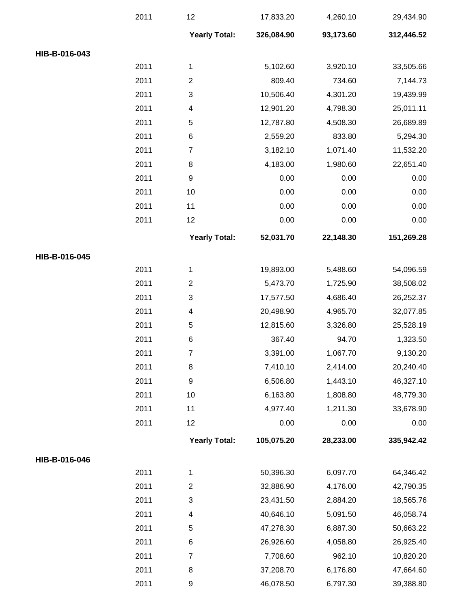|               | 2011 | 12                       | 17,833.20  | 4,260.10  | 29,434.90  |
|---------------|------|--------------------------|------------|-----------|------------|
|               |      | <b>Yearly Total:</b>     | 326,084.90 | 93,173.60 | 312,446.52 |
| HIB-B-016-043 |      |                          |            |           |            |
|               | 2011 | 1                        | 5,102.60   | 3,920.10  | 33,505.66  |
|               | 2011 | $\overline{2}$           | 809.40     | 734.60    | 7,144.73   |
|               | 2011 | $\sqrt{3}$               | 10,506.40  | 4,301.20  | 19,439.99  |
|               | 2011 | 4                        | 12,901.20  | 4,798.30  | 25,011.11  |
|               | 2011 | 5                        | 12,787.80  | 4,508.30  | 26,689.89  |
|               | 2011 | 6                        | 2,559.20   | 833.80    | 5,294.30   |
|               | 2011 | 7                        | 3,182.10   | 1,071.40  | 11,532.20  |
|               | 2011 | 8                        | 4,183.00   | 1,980.60  | 22,651.40  |
|               | 2011 | 9                        | 0.00       | 0.00      | 0.00       |
|               | 2011 | 10                       | 0.00       | 0.00      | 0.00       |
|               | 2011 | 11                       | 0.00       | 0.00      | 0.00       |
|               | 2011 | 12                       | 0.00       | 0.00      | 0.00       |
|               |      | <b>Yearly Total:</b>     | 52,031.70  | 22,148.30 | 151,269.28 |
| HIB-B-016-045 |      |                          |            |           |            |
|               | 2011 | 1                        | 19,893.00  | 5,488.60  | 54,096.59  |
|               | 2011 | $\overline{c}$           | 5,473.70   | 1,725.90  | 38,508.02  |
|               | 2011 | 3                        | 17,577.50  | 4,686.40  | 26,252.37  |
|               | 2011 | 4                        | 20,498.90  | 4,965.70  | 32,077.85  |
|               | 2011 | 5                        | 12,815.60  | 3,326.80  | 25,528.19  |
|               | 2011 | 6                        | 367.40     | 94.70     | 1,323.50   |
|               | 2011 | 7                        | 3,391.00   | 1,067.70  | 9,130.20   |
|               | 2011 | 8                        | 7,410.10   | 2,414.00  | 20,240.40  |
|               | 2011 | 9                        | 6,506.80   | 1,443.10  | 46,327.10  |
|               | 2011 | 10                       | 6,163.80   | 1,808.80  | 48,779.30  |
|               | 2011 | 11                       | 4,977.40   | 1,211.30  | 33,678.90  |
|               | 2011 | 12                       | 0.00       | 0.00      | 0.00       |
|               |      | <b>Yearly Total:</b>     | 105,075.20 | 28,233.00 | 335,942.42 |
| HIB-B-016-046 |      |                          |            |           |            |
|               | 2011 | 1                        | 50,396.30  | 6,097.70  | 64,346.42  |
|               | 2011 | $\overline{c}$           | 32,886.90  | 4,176.00  | 42,790.35  |
|               | 2011 | 3                        | 23,431.50  | 2,884.20  | 18,565.76  |
|               | 2011 | $\overline{\mathcal{A}}$ | 40,646.10  | 5,091.50  | 46,058.74  |
|               | 2011 | 5                        | 47,278.30  | 6,887.30  | 50,663.22  |
|               | 2011 | 6                        | 26,926.60  | 4,058.80  | 26,925.40  |
|               | 2011 | 7                        | 7,708.60   | 962.10    | 10,820.20  |
|               | 2011 | 8                        | 37,208.70  | 6,176.80  | 47,664.60  |
|               | 2011 | $\boldsymbol{9}$         | 46,078.50  | 6,797.30  | 39,388.80  |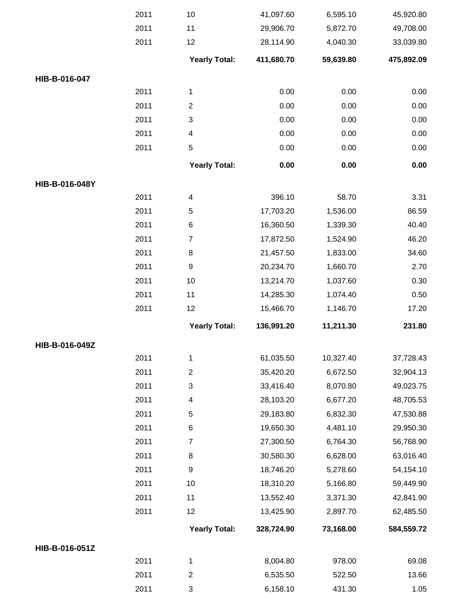|                | 2011 | 10                       | 41,097.60  | 6,595.10  | 45,920.80  |
|----------------|------|--------------------------|------------|-----------|------------|
|                | 2011 | 11                       | 29,906.70  | 5,872.70  | 49,708.00  |
|                | 2011 | 12                       | 28,114.90  | 4,040.30  | 33,039.80  |
|                |      | <b>Yearly Total:</b>     | 411,680.70 | 59,639.80 | 475,892.09 |
| HIB-B-016-047  |      |                          |            |           |            |
|                | 2011 | 1                        | 0.00       | 0.00      | 0.00       |
|                | 2011 | $\overline{\mathbf{c}}$  | 0.00       | 0.00      | 0.00       |
|                | 2011 | 3                        | 0.00       | 0.00      | 0.00       |
|                | 2011 | 4                        | 0.00       | 0.00      | 0.00       |
|                | 2011 | 5                        | 0.00       | 0.00      | 0.00       |
|                |      | <b>Yearly Total:</b>     | 0.00       | 0.00      | 0.00       |
| HIB-B-016-048Y |      |                          |            |           |            |
|                | 2011 | $\overline{\mathcal{A}}$ | 396.10     | 58.70     | 3.31       |
|                | 2011 | 5                        | 17,703.20  | 1,536.00  | 86.59      |
|                | 2011 | 6                        | 16,360.50  | 1,339.30  | 40.40      |
|                | 2011 | $\overline{7}$           | 17,872.50  | 1,524.90  | 46.20      |
|                | 2011 | 8                        | 21,457.50  | 1,833.00  | 34.60      |
|                | 2011 | 9                        | 20,234.70  | 1,660.70  | 2.70       |
|                | 2011 | 10                       | 13,214.70  | 1,037.60  | 0.30       |
|                | 2011 | 11                       | 14,285.30  | 1,074.40  | 0.50       |
|                | 2011 | 12                       | 15,466.70  | 1,146.70  | 17.20      |
|                |      | <b>Yearly Total:</b>     | 136,991.20 | 11,211.30 | 231.80     |
| HIB-B-016-049Z |      |                          |            |           |            |
|                | 2011 | 1                        | 61,035.50  | 10,327.40 | 37,728.43  |
|                | 2011 | $\overline{c}$           | 35,420.20  | 6,672.50  | 32,904.13  |
|                | 2011 | 3                        | 33,416.40  | 8,070.80  | 49,023.75  |
|                | 2011 | 4                        | 28,103.20  | 6,677.20  | 48,705.53  |
|                | 2011 | 5                        | 29,183.80  | 6,832.30  | 47,530.88  |
|                | 2011 | 6                        | 19,650.30  | 4,481.10  | 29,950.30  |
|                | 2011 | $\overline{7}$           | 27,300.50  | 6,764.30  | 56,768.90  |
|                | 2011 | 8                        | 30,580.30  | 6,628.00  | 63,016.40  |
|                | 2011 | 9                        | 18,746.20  | 5,278.60  | 54,154.10  |
|                | 2011 | 10                       | 18,310.20  | 5,166.80  | 59,449.90  |
|                | 2011 | 11                       | 13,552.40  | 3,371.30  | 42,841.90  |
|                | 2011 | 12                       | 13,425.90  | 2,897.70  | 62,485.50  |
|                |      | <b>Yearly Total:</b>     | 328,724.90 | 73,168.00 | 584,559.72 |
| HIB-B-016-051Z |      |                          |            |           |            |
|                | 2011 | 1                        | 8,004.80   | 978.00    | 69.08      |
|                | 2011 | $\overline{c}$           | 6,535.50   | 522.50    | 13.66      |
|                |      |                          |            |           |            |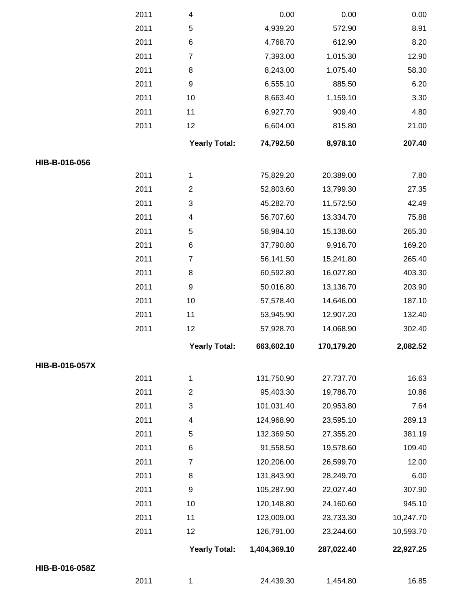|                | 2011 | 4                         | 0.00         | 0.00       | 0.00      |
|----------------|------|---------------------------|--------------|------------|-----------|
|                | 2011 | $\mathbf 5$               | 4,939.20     | 572.90     | 8.91      |
|                | 2011 | $\,6$                     | 4,768.70     | 612.90     | 8.20      |
|                | 2011 | $\boldsymbol{7}$          | 7,393.00     | 1,015.30   | 12.90     |
|                | 2011 | $\,8\,$                   | 8,243.00     | 1,075.40   | 58.30     |
|                | 2011 | $\boldsymbol{9}$          | 6,555.10     | 885.50     | 6.20      |
|                | 2011 | 10                        | 8,663.40     | 1,159.10   | 3.30      |
|                | 2011 | 11                        | 6,927.70     | 909.40     | 4.80      |
|                | 2011 | 12                        | 6,604.00     | 815.80     | 21.00     |
|                |      | <b>Yearly Total:</b>      | 74,792.50    | 8,978.10   | 207.40    |
| HIB-B-016-056  |      |                           |              |            |           |
|                | 2011 | 1                         | 75,829.20    | 20,389.00  | 7.80      |
|                | 2011 | $\boldsymbol{2}$          | 52,803.60    | 13,799.30  | 27.35     |
|                | 2011 | $\ensuremath{\mathsf{3}}$ | 45,282.70    | 11,572.50  | 42.49     |
|                | 2011 | 4                         | 56,707.60    | 13,334.70  | 75.88     |
|                | 2011 | $\mathbf 5$               | 58,984.10    | 15,138.60  | 265.30    |
|                | 2011 | $\,6$                     | 37,790.80    | 9,916.70   | 169.20    |
|                | 2011 | $\boldsymbol{7}$          | 56,141.50    | 15,241.80  | 265.40    |
|                | 2011 | $\,8\,$                   | 60,592.80    | 16,027.80  | 403.30    |
|                | 2011 | $\boldsymbol{9}$          | 50,016.80    | 13,136.70  | 203.90    |
|                | 2011 | 10                        | 57,578.40    | 14,646.00  | 187.10    |
|                | 2011 | 11                        | 53,945.90    | 12,907.20  | 132.40    |
|                | 2011 | 12                        | 57,928.70    | 14,068.90  | 302.40    |
|                |      | <b>Yearly Total:</b>      | 663,602.10   | 170,179.20 | 2,082.52  |
| HIB-B-016-057X |      |                           |              |            |           |
|                | 2011 | 1                         | 131,750.90   | 27,737.70  | 16.63     |
|                | 2011 | $\boldsymbol{2}$          | 95,403.30    | 19,786.70  | 10.86     |
|                | 2011 | 3                         | 101,031.40   | 20,953.80  | 7.64      |
|                | 2011 | 4                         | 124,968.90   | 23,595.10  | 289.13    |
|                | 2011 | 5                         | 132,369.50   | 27,355.20  | 381.19    |
|                | 2011 | 6                         | 91,558.50    | 19,578.60  | 109.40    |
|                | 2011 | $\overline{7}$            | 120,206.00   | 26,599.70  | 12.00     |
|                | 2011 | 8                         | 131,843.90   | 28,249.70  | 6.00      |
|                | 2011 | $\boldsymbol{9}$          | 105,287.90   | 22,027.40  | 307.90    |
|                | 2011 | 10                        | 120,148.80   | 24,160.60  | 945.10    |
|                | 2011 | 11                        | 123,009.00   | 23,733.30  | 10,247.70 |
|                | 2011 | 12                        | 126,791.00   | 23,244.60  | 10,593.70 |
|                |      | <b>Yearly Total:</b>      | 1,404,369.10 | 287,022.40 | 22,927.25 |
| HIB-B-016-058Z |      |                           |              |            |           |
|                | 2011 | 1                         | 24,439.30    | 1,454.80   | 16.85     |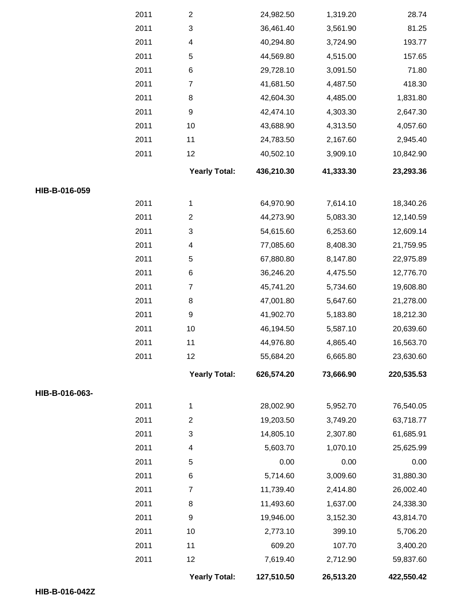|                |      | <b>Yearly Total:</b>     | 127,510.50 | 26,513.20 | 422,550.42 |
|----------------|------|--------------------------|------------|-----------|------------|
|                | 2011 | 12                       | 7,619.40   | 2,712.90  | 59,837.60  |
|                | 2011 | 11                       | 609.20     | 107.70    | 3,400.20   |
|                | 2011 | 10                       | 2,773.10   | 399.10    | 5,706.20   |
|                | 2011 | $\boldsymbol{9}$         | 19,946.00  | 3,152.30  | 43,814.70  |
|                | 2011 | 8                        | 11,493.60  | 1,637.00  | 24,338.30  |
|                | 2011 | $\overline{7}$           | 11,739.40  | 2,414.80  | 26,002.40  |
|                | 2011 | 6                        | 5,714.60   | 3,009.60  | 31,880.30  |
|                | 2011 | 5                        | 0.00       | 0.00      | 0.00       |
|                | 2011 | 4                        | 5,603.70   | 1,070.10  | 25,625.99  |
|                | 2011 | $\sqrt{3}$               | 14,805.10  | 2,307.80  | 61,685.91  |
|                | 2011 | $\boldsymbol{2}$         | 19,203.50  | 3,749.20  | 63,718.77  |
|                | 2011 | $\mathbf{1}$             | 28,002.90  | 5,952.70  | 76,540.05  |
| HIB-B-016-063- |      |                          |            |           |            |
|                |      | <b>Yearly Total:</b>     | 626,574.20 | 73,666.90 | 220,535.53 |
|                | 2011 | 12                       | 55,684.20  | 6,665.80  | 23,630.60  |
|                | 2011 | 11                       | 44,976.80  | 4,865.40  | 16,563.70  |
|                | 2011 | 10                       | 46,194.50  | 5,587.10  | 20,639.60  |
|                | 2011 | $\boldsymbol{9}$         | 41,902.70  | 5,183.80  | 18,212.30  |
|                | 2011 | 8                        | 47,001.80  | 5,647.60  | 21,278.00  |
|                | 2011 | $\boldsymbol{7}$         | 45,741.20  | 5,734.60  | 19,608.80  |
|                | 2011 | 6                        | 36,246.20  | 4,475.50  | 12,776.70  |
|                | 2011 | 5                        | 67,880.80  | 8,147.80  | 22,975.89  |
|                | 2011 | 4                        | 77,085.60  | 8,408.30  | 21,759.95  |
|                | 2011 | 3                        | 54,615.60  | 6,253.60  | 12,609.14  |
|                | 2011 | $\mathbf{2}$             | 44,273.90  | 5,083.30  | 12,140.59  |
|                | 2011 | $\mathbf{1}$             | 64,970.90  | 7,614.10  | 18,340.26  |
| HIB-B-016-059  |      |                          |            |           |            |
|                |      | <b>Yearly Total:</b>     | 436,210.30 | 41,333.30 | 23,293.36  |
|                | 2011 | 12                       | 40,502.10  | 3,909.10  | 10,842.90  |
|                | 2011 | 11                       | 24,783.50  | 2,167.60  | 2,945.40   |
|                | 2011 | 10                       | 43,688.90  | 4,313.50  | 4,057.60   |
|                | 2011 | $\boldsymbol{9}$         | 42,474.10  | 4,303.30  | 2,647.30   |
|                | 2011 | 8                        | 42,604.30  | 4,485.00  | 1,831.80   |
|                | 2011 | $\overline{7}$           | 41,681.50  | 4,487.50  | 418.30     |
|                | 2011 | 6                        | 29,728.10  | 3,091.50  | 71.80      |
|                | 2011 | 5                        | 44,569.80  | 4,515.00  | 157.65     |
|                | 2011 | $\overline{\mathcal{A}}$ | 40,294.80  | 3,724.90  | 193.77     |
|                | 2011 | $\sqrt{3}$               | 36,461.40  | 3,561.90  | 81.25      |
|                | 2011 | $\mathbf{2}$             | 24,982.50  | 1,319.20  | 28.74      |
|                |      |                          |            |           |            |